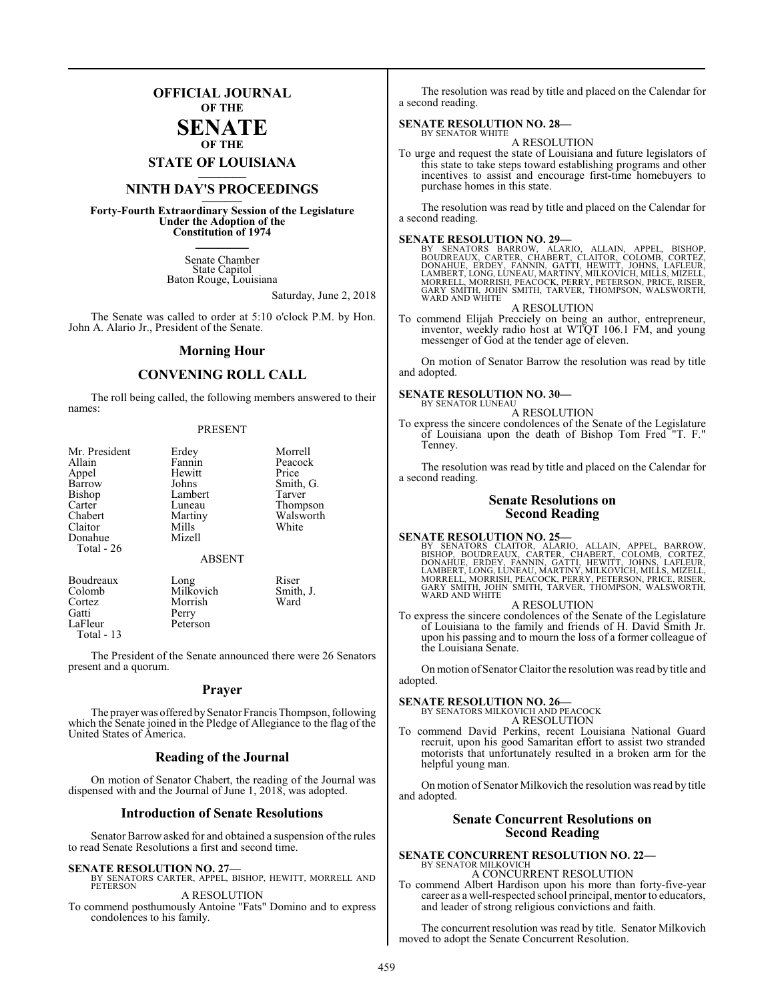### **OFFICIAL JOURNAL OF THE**

#### **SENATE OF THE**

**STATE OF LOUISIANA \_\_\_\_\_\_\_**

## **NINTH DAY'S PROCEEDINGS \_\_\_\_\_\_\_**

**Forty-Fourth Extraordinary Session of the Legislature Under the Adoption of the Constitution of 1974 \_\_\_\_\_\_\_**

> Senate Chamber State Capitol Baton Rouge, Louisiana

> > Saturday, June 2, 2018

The Senate was called to order at 5:10 o'clock P.M. by Hon. John A. Alario Jr., President of the Senate.

#### **Morning Hour**

#### **CONVENING ROLL CALL**

The roll being called, the following members answered to their names:

#### PRESENT

| Mr. President<br>Allain<br>Appel<br>Barrow<br><b>Bishop</b><br>Carter<br>Chabert<br>Claitor<br>Donahue | Erdey<br>Fannin<br>Hewitt<br>Johns<br>Lambert<br>Luneau<br>Martiny<br>Mills<br>Mizell | Morrell<br>Peacock<br>Price<br>Smith, G.<br>Tarver<br>Thompson<br>Walsworth<br>White |
|--------------------------------------------------------------------------------------------------------|---------------------------------------------------------------------------------------|--------------------------------------------------------------------------------------|
| Total - 26                                                                                             | <b>ABSENT</b>                                                                         |                                                                                      |

| Boudreaux   | Long      | Riser     |
|-------------|-----------|-----------|
| Colomb      | Milkovich | Smith, J. |
| Cortez      | Morrish   | Ward      |
| Gatti       | Perry     |           |
| LaFleur     | Peterson  |           |
| Total $-13$ |           |           |

The President of the Senate announced there were 26 Senators present and a quorum.

#### **Prayer**

The prayer was offered by Senator Francis Thompson, following which the Senate joined in the Pledge of Allegiance to the flag of the United States of America.

#### **Reading of the Journal**

On motion of Senator Chabert, the reading of the Journal was dispensed with and the Journal of June 1, 2018, was adopted.

#### **Introduction of Senate Resolutions**

Senator Barrow asked for and obtained a suspension of the rules to read Senate Resolutions a first and second time.

#### **SENATE RESOLUTION NO. 27—**

BY SENATORS CARTER, APPEL, BISHOP, HEWITT, MORRELL AND **PETERSON** A RESOLUTION

To commend posthumously Antoine "Fats" Domino and to express condolences to his family.

The resolution was read by title and placed on the Calendar for a second reading.

## **SENATE RESOLUTION NO. 28—**<br>BY SENATOR WHITE

#### A RESOLUTION

To urge and request the state of Louisiana and future legislators of this state to take steps toward establishing programs and other incentives to assist and encourage first-time homebuyers to purchase homes in this state.

The resolution was read by title and placed on the Calendar for a second reading.

#### **SENATE RESOLUTION NO. 29—**

BY SENATORS BARROW, ALARIO, ALLAIN, APPEL, BISHOP,<br>BOUDREAUX, CARTER, CHABERT, CLAITOR, COLOMB, CORTEZ,<br>DONAHUE, ERDEY, FANNIN, GATTI, HEWITT, JOHNS, LAFLEUR,<br>LAMBERT,LONG,LUNEAU,MARTINY,MILKOVICH,MILLS,MIZELL, MORRELL, MORRISH, PEACOCK, PERRY, PETERSON, PRICE, RISER, GARY SMITH, JOHN SMITH, TARVER, THOMPSON, WALSWORTH, WARD AND WHITE

A RESOLUTION

To commend Elijah Precciely on being an author, entrepreneur, inventor, weekly radio host at WTQT 106.1 FM, and young messenger of God at the tender age of eleven.

On motion of Senator Barrow the resolution was read by title and adopted.

#### **SENATE RESOLUTION NO. 30—** BY SENATOR LUNEAU

A RESOLUTION

To express the sincere condolences of the Senate of the Legislature of Louisiana upon the death of Bishop Tom Fred "T. F." Tenney.

The resolution was read by title and placed on the Calendar for a second reading.

#### **Senate Resolutions on Second Reading**

#### **SENATE RESOLUTION NO. 25—**

BY SENATORS CLAITOR, ALARIO, ALLAIN, APPEL, BARROW,<br>BISHOP, BOUDREAUX, CARTER, CHABERT, COLOMB, CORTEZ,<br>DONAHUE, ERDEY, FANNIN, GATTI, HEWITT, JOHNS, LAFLEUR,<br>LAMBERT,LONG,LUNEAU,MARTINY,MILKOVICH,MILLS,MIZELL,<br>MORRELL,MOR

#### A RESOLUTION

To express the sincere condolences of the Senate of the Legislature of Louisiana to the family and friends of H. David Smith Jr. upon his passing and to mourn the loss of a former colleague of the Louisiana Senate.

On motion of Senator Claitor the resolution was read by title and adopted.

## **SENATE RESOLUTION NO. 26—** BY SENATORS MILKOVICH AND PEACOCK

A RESOLUTION

To commend David Perkins, recent Louisiana National Guard recruit, upon his good Samaritan effort to assist two stranded motorists that unfortunately resulted in a broken arm for the helpful young man.

On motion of Senator Milkovich the resolution was read by title and adopted.

#### **Senate Concurrent Resolutions on Second Reading**

# **SENATE CONCURRENT RESOLUTION NO. 22—** BY SENATOR MILKOVICH

A CONCURRENT RESOLUTION To commend Albert Hardison upon his more than forty-five-year

career as a well-respected school principal, mentor to educators, and leader of strong religious convictions and faith.

The concurrent resolution was read by title. Senator Milkovich moved to adopt the Senate Concurrent Resolution.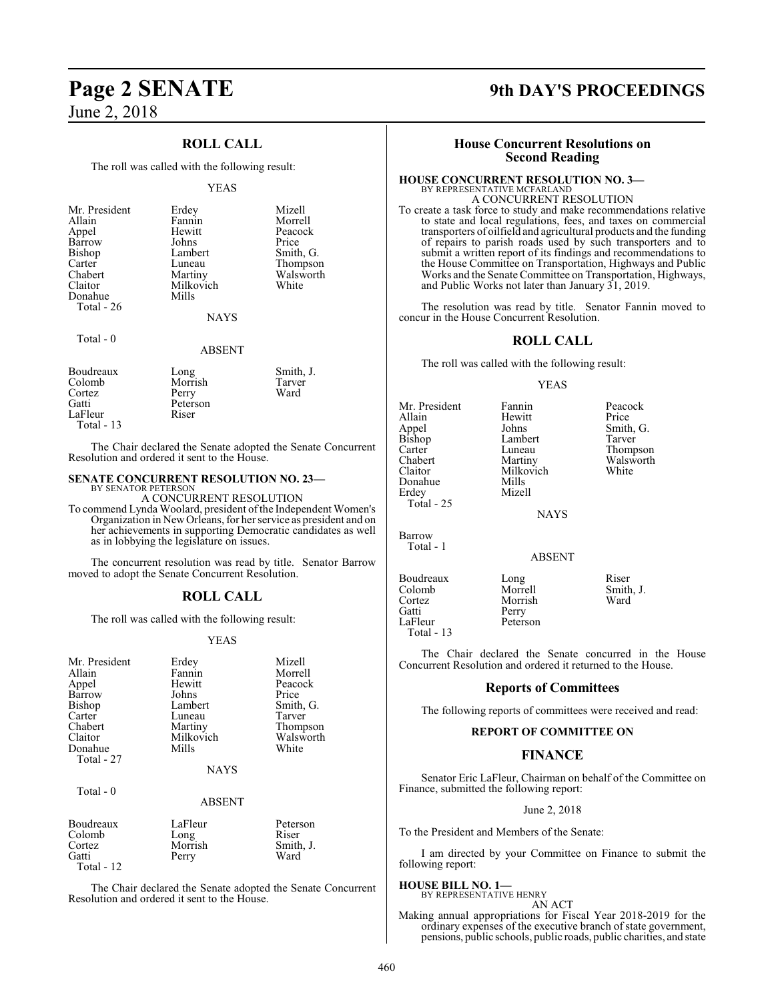June 2, 2018

### **ROLL CALL**

The roll was called with the following result:

#### YEAS

| Mr. President | Erdey         | Mizell    |
|---------------|---------------|-----------|
| Allain        | Fannin        | Morrell   |
| Appel         | Hewitt        | Peacock   |
| Barrow        | Johns         | Price     |
| Bishop        | Lambert       | Smith, G. |
| Carter        | Luneau        | Thompson  |
| Chabert       | Martiny       | Walsworth |
| Claitor       | Milkovich     | White     |
| Donahue       | Mills         |           |
| Total - 26    |               |           |
|               | <b>NAYS</b>   |           |
| Total $-0$    |               |           |
|               | <b>ABSENT</b> |           |
| Boudreaux     | Long          | Smith, J. |

| Boudreaux   | Long     | Sm <sub>1</sub> , J. |
|-------------|----------|----------------------|
| Colomb      | Morrish  | Tarver               |
| Cortez      | Perry    | Ward                 |
| Gatti       | Peterson |                      |
| LaFleur     | Riser    |                      |
| Total $-13$ |          |                      |
|             |          |                      |

The Chair declared the Senate adopted the Senate Concurrent Resolution and ordered it sent to the House.

#### **SENATE CONCURRENT RESOLUTION NO. 23—**

BY SENATOR PETERSON A CONCURRENT RESOLUTION

To commend Lynda Woolard, president of the Independent Women's Organization in NewOrleans, for her service as president and on her achievements in supporting Democratic candidates as well as in lobbying the legislature on issues.

The concurrent resolution was read by title. Senator Barrow moved to adopt the Senate Concurrent Resolution.

#### **ROLL CALL**

The roll was called with the following result:

#### YEAS

| Mr. President<br>Allain<br>Appel<br>Barrow<br><b>Bishop</b><br>Carter<br>Chabert<br>Claitor<br>Donahue | Erdey<br>Fannin<br>Hewitt<br>Johns<br>Lambert<br>Luneau<br>Martiny<br>Milkovich<br>Mills | Mizell<br>Morrell<br>Peacock<br>Price<br>Smith, G.<br>Tarver<br>Thompson<br>Walsworth<br>White |
|--------------------------------------------------------------------------------------------------------|------------------------------------------------------------------------------------------|------------------------------------------------------------------------------------------------|
| Total - 27                                                                                             | <b>NAYS</b>                                                                              |                                                                                                |
| Total - 0                                                                                              | <b>ABSENT</b>                                                                            |                                                                                                |
| Boudreaux<br>Colomb<br>Cortez<br>Gatti<br>Total - 12                                                   | LaFleur<br>Long<br>Morrish<br>Perry                                                      | Peterson<br>Riser<br>Smith, J.<br>Ward                                                         |

The Chair declared the Senate adopted the Senate Concurrent Resolution and ordered it sent to the House.

# **Page 2 SENATE 9th DAY'S PROCEEDINGS**

#### **House Concurrent Resolutions on Second Reading**

#### **HOUSE CONCURRENT RESOLUTION NO. 3—**

BY REPRESENTATIVE MCFARLAND A CONCURRENT RESOLUTION

To create a task force to study and make recommendations relative to state and local regulations, fees, and taxes on commercial transporters of oilfield and agricultural products and the funding of repairs to parish roads used by such transporters and to submit a written report of its findings and recommendations to the House Committee on Transportation, Highways and Public Works and the Senate Committee on Transportation, Highways, and Public Works not later than January 31, 2019.

The resolution was read by title. Senator Fannin moved to concur in the House Concurrent Resolution.

#### **ROLL CALL**

The roll was called with the following result:

#### YEAS

Mr. President Fannin Peacock<br>Allain Hewitt Price Allain Hewitt<br>Appel Johns Appel Johns Smith, G.<br>Bishop Lambert Tarver Bishop Lambert<br>Carter Luneau Carter Luneau Thompson<br>Chabert Martiny Walsworth Chabert Martiny Walsworth<br>Claitor Milkovich White Donahue<br>Erdey Total - 25

Milkovich<br>Mills Mizell

**NAYS** 

ABSENT

Total - 1

Total - 13

Barrow

Colomb Morrell Smith<br>
Cortez Morrish Ward Cortez Morrish<br>
Gatti Perry Gatti Perry<br>LaFleur Peters Peterson

Boudreaux Long Riser<br>Colomb Morrell Smith, J.

The Chair declared the Senate concurred in the House Concurrent Resolution and ordered it returned to the House.

#### **Reports of Committees**

The following reports of committees were received and read:

#### **REPORT OF COMMITTEE ON**

#### **FINANCE**

Senator Eric LaFleur, Chairman on behalf of the Committee on Finance, submitted the following report:

#### June 2, 2018

To the President and Members of the Senate:

I am directed by your Committee on Finance to submit the following report:

#### **HOUSE BILL NO. 1—** BY REPRESENTATIVE HENRY

AN ACT

Making annual appropriations for Fiscal Year 2018-2019 for the ordinary expenses of the executive branch of state government, pensions, public schools, public roads, public charities, and state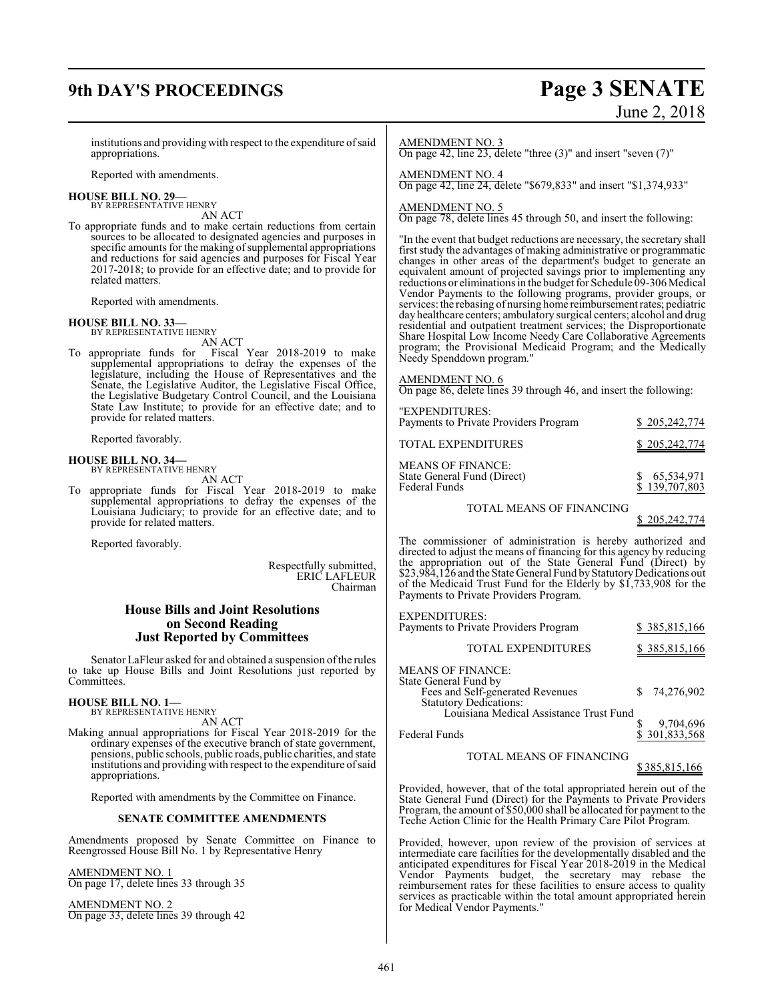# **9th DAY'S PROCEEDINGS Page 3 SENATE**

# June 2, 2018

institutions and providing with respect to the expenditure of said appropriations.

Reported with amendments.

#### **HOUSE BILL NO. 29—** BY REPRESENTATIVE HENRY

AN ACT

To appropriate funds and to make certain reductions from certain sources to be allocated to designated agencies and purposes in specific amounts for the making of supplemental appropriations and reductions for said agencies and purposes for Fiscal Year 2017-2018; to provide for an effective date; and to provide for related matters.

Reported with amendments.

#### **HOUSE BILL NO. 33—**

BY REPRESENTATIVE HENRY

AN ACT To appropriate funds for Fiscal Year 2018-2019 to make supplemental appropriations to defray the expenses of the legislature, including the House of Representatives and the Senate, the Legislative Auditor, the Legislative Fiscal Office, the Legislative Budgetary Control Council, and the Louisiana State Law Institute; to provide for an effective date; and to provide for related matters.

Reported favorably.

#### **HOUSE BILL NO. 34—** BY REPRESENTATIVE HENRY

AN ACT

To appropriate funds for Fiscal Year 2018-2019 to make supplemental appropriations to defray the expenses of the Louisiana Judiciary; to provide for an effective date; and to provide for related matters.

Reported favorably.

Respectfully submitted, ERIC LAFLEUR Chairman

#### **House Bills and Joint Resolutions on Second Reading Just Reported by Committees**

Senator LaFleur asked for and obtained a suspension of the rules to take up House Bills and Joint Resolutions just reported by Committees.

#### **HOUSE BILL NO. 1—**

BY REPRESENTATIVE HENRY AN ACT

Making annual appropriations for Fiscal Year 2018-2019 for the ordinary expenses of the executive branch of state government, pensions, public schools, public roads, public charities, and state institutions and providing with respect to the expenditure ofsaid appropriations.

Reported with amendments by the Committee on Finance.

#### **SENATE COMMITTEE AMENDMENTS**

Amendments proposed by Senate Committee on Finance to Reengrossed House Bill No. 1 by Representative Henry

AMENDMENT NO. 1 On page 17, delete lines 33 through 35

AMENDMENT NO. 2 On page 33, delete lines 39 through 42

#### AMENDMENT NO. 3

On page 42, line 23, delete "three (3)" and insert "seven (7)"

AMENDMENT NO. 4

On page 42, line 24, delete "\$679,833" and insert "\$1,374,933"

### AMEN<u>DMENT NO. 5</u>

On page 78, delete lines 45 through 50, and insert the following:

"In the event that budget reductions are necessary, the secretary shall first study the advantages of making administrative or programmatic changes in other areas of the department's budget to generate an equivalent amount of projected savings prior to implementing any reductions or eliminations in the budget for Schedule 09-306 Medical Vendor Payments to the following programs, provider groups, or services: the rebasing of nursing home reimbursement rates; pediatric day healthcare centers; ambulatory surgical centers; alcohol and drug residential and outpatient treatment services; the Disproportionate Share Hospital Low Income Needy Care Collaborative Agreements program; the Provisional Medicaid Program; and the Medically Needy Spenddown program."

#### AMENDMENT NO. 6

On page 86, delete lines 39 through 46, and insert the following:

| "EXPENDITURES:<br>Payments to Private Providers Program                         | \$205,242,774                   |
|---------------------------------------------------------------------------------|---------------------------------|
| TOTAL EXPENDITURES                                                              | \$205,242,774                   |
| <b>MEANS OF FINANCE:</b><br>State General Fund (Direct)<br><b>Federal Funds</b> | \$ 65,534,971<br>\$ 139,707,803 |
| TOTAL MEANS OF FINANCING                                                        |                                 |

#### 205,242,774

The commissioner of administration is hereby authorized and directed to adjust the means of financing for this agency by reducing the appropriation out of the State General Fund (Direct) by \$23,984,126 and the State General Fund by Statutory Dedications out of the Medicaid Trust Fund for the Elderly by \$1,733,908 for the Payments to Private Providers Program.

| <b>EXPENDITURES:</b><br>Payments to Private Providers Program                                                                                              | \$385,815,166            |
|------------------------------------------------------------------------------------------------------------------------------------------------------------|--------------------------|
| <b>TOTAL EXPENDITURES</b>                                                                                                                                  | <u>\$385,815,166</u>     |
| <b>MEANS OF FINANCE:</b><br>State General Fund by<br>Fees and Self-generated Revenues<br>Statutory Dedications:<br>Louisiana Medical Assistance Trust Fund | 74,276,902               |
| Federal Funds                                                                                                                                              | 9,704,696<br>301,833,568 |

#### TOTAL MEANS OF FINANCING

\$ 385,815,166

Provided, however, that of the total appropriated herein out of the State General Fund (Direct) for the Payments to Private Providers Program, the amount of \$50,000 shall be allocated for payment to the Teche Action Clinic for the Health Primary Care Pilot Program.

Provided, however, upon review of the provision of services at intermediate care facilities for the developmentally disabled and the anticipated expenditures for Fiscal Year 2018-2019 in the Medical Vendor Payments budget, the secretary may rebase the reimbursement rates for these facilities to ensure access to quality services as practicable within the total amount appropriated herein for Medical Vendor Payments."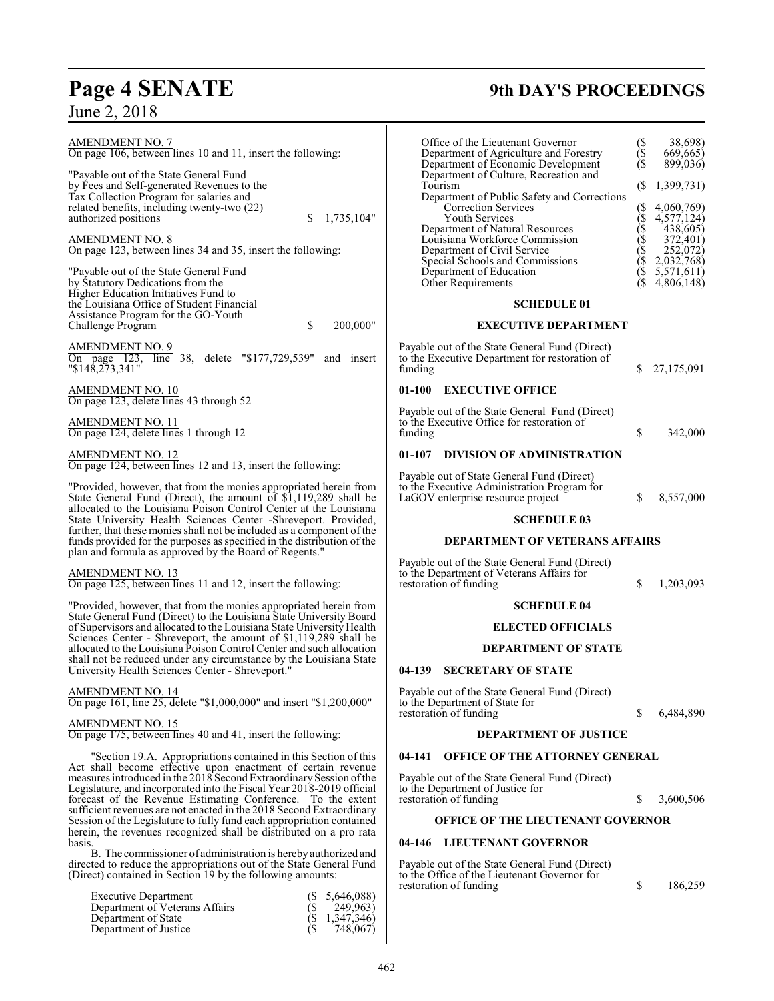# **Page 4 SENATE 9th DAY'S PROCEEDINGS**

June 2, 2018

| <b>AMENDMENT NO. 7</b><br>On page 106, between lines 10 and 11, insert the following:<br>"Payable out of the State General Fund"<br>by Fees and Self-generated Revenues to the<br>Tax Collection Program for salaries and<br>related benefits, including twenty-two (22)<br>authorized positions<br>\$<br>1,735,104"<br><b>AMENDMENT NO. 8</b><br>On page 123, between lines 34 and 35, insert the following:<br>"Payable out of the State General Fund"<br>by Statutory Dedications from the<br>Higher Education Initiatives Fund to | Office of the Lieutenant Governor<br>Department of Agriculture and Forestry<br>Department of Economic Development<br>Department of Culture, Recreation and<br>Tourism<br>Department of Public Safety and Correc<br>Correction Services<br><b>Youth Services</b><br>Department of Natural Resources<br>Louisiana Workforce Commission<br>Department of Civil Service<br>Special Schools and Commissions<br>Department of Education<br>Other Requirements |
|---------------------------------------------------------------------------------------------------------------------------------------------------------------------------------------------------------------------------------------------------------------------------------------------------------------------------------------------------------------------------------------------------------------------------------------------------------------------------------------------------------------------------------------|---------------------------------------------------------------------------------------------------------------------------------------------------------------------------------------------------------------------------------------------------------------------------------------------------------------------------------------------------------------------------------------------------------------------------------------------------------|
| the Louisiana Office of Student Financial<br>Assistance Program for the GO-Youth<br>\$<br>200,000"<br>Challenge Program                                                                                                                                                                                                                                                                                                                                                                                                               | <b>SCHEDULE 01</b><br><b>EXECUTIVE DEPARTM</b>                                                                                                                                                                                                                                                                                                                                                                                                          |
| AMENDMENT NO. 9                                                                                                                                                                                                                                                                                                                                                                                                                                                                                                                       | Payable out of the State General Fund (Direc                                                                                                                                                                                                                                                                                                                                                                                                            |
| On page 123, line 38, delete "\$177,729,539"<br>and insert<br>$"\$14\overline{8},2\overline{7}3,341"$                                                                                                                                                                                                                                                                                                                                                                                                                                 | to the Executive Department for restoration of<br>funding                                                                                                                                                                                                                                                                                                                                                                                               |
| AMENDMENT NO. 10<br>On page 123, delete lines 43 through 52                                                                                                                                                                                                                                                                                                                                                                                                                                                                           | 01-100<br><b>EXECUTIVE OFFICE</b>                                                                                                                                                                                                                                                                                                                                                                                                                       |
| AMENDMENT NO. 11<br>On page 124, delete lines 1 through 12                                                                                                                                                                                                                                                                                                                                                                                                                                                                            | Payable out of the State General Fund (Direo<br>to the Executive Office for restoration of<br>funding                                                                                                                                                                                                                                                                                                                                                   |
| AMENDMENT NO. 12<br>On page 124, between lines 12 and 13, insert the following:                                                                                                                                                                                                                                                                                                                                                                                                                                                       | <b>DIVISION OF ADMINISTRATI</b><br>01-107                                                                                                                                                                                                                                                                                                                                                                                                               |
| "Provided, however, that from the monies appropriated herein from<br>State General Fund (Direct), the amount of \$1,119,289 shall be                                                                                                                                                                                                                                                                                                                                                                                                  | Payable out of State General Fund (Direct)<br>to the Executive Administration Program for<br>LaGOV enterprise resource project                                                                                                                                                                                                                                                                                                                          |
| allocated to the Louisiana Poison Control Center at the Louisiana<br>State University Health Sciences Center -Shreveport. Provided,                                                                                                                                                                                                                                                                                                                                                                                                   | <b>SCHEDULE 03</b>                                                                                                                                                                                                                                                                                                                                                                                                                                      |
| further, that these monies shall not be included as a component of the<br>funds provided for the purposes as specified in the distribution of the<br>plan and formula as approved by the Board of Regents."                                                                                                                                                                                                                                                                                                                           | <b>DEPARTMENT OF VETERAN</b>                                                                                                                                                                                                                                                                                                                                                                                                                            |
| <b>AMENDMENT NO. 13</b><br>On page 125, between lines 11 and 12, insert the following:                                                                                                                                                                                                                                                                                                                                                                                                                                                | Payable out of the State General Fund (Direc<br>to the Department of Veterans Affairs for<br>restoration of funding                                                                                                                                                                                                                                                                                                                                     |
| "Provided, however, that from the monies appropriated herein from                                                                                                                                                                                                                                                                                                                                                                                                                                                                     | <b>SCHEDULE 04</b>                                                                                                                                                                                                                                                                                                                                                                                                                                      |
| State General Fund (Direct) to the Louisiana State University Board<br>of Supervisors and allocated to the Louisiana State University Health<br>Sciences Center - Shreveport, the amount of \$1,119,289 shall be                                                                                                                                                                                                                                                                                                                      | <b>ELECTED OFFICIAL</b>                                                                                                                                                                                                                                                                                                                                                                                                                                 |
| allocated to the Louisiana Poison Control Center and such allocation<br>shall not be reduced under any circumstance by the Louisiana State                                                                                                                                                                                                                                                                                                                                                                                            | <b>DEPARTMENT OF STA</b>                                                                                                                                                                                                                                                                                                                                                                                                                                |
| University Health Sciences Center - Shreveport."                                                                                                                                                                                                                                                                                                                                                                                                                                                                                      | 04-139<br><b>SECRETARY OF STATE</b>                                                                                                                                                                                                                                                                                                                                                                                                                     |
| <b>AMENDMENT NO. 14</b><br>On page 161, line 25, delete "\$1,000,000" and insert "\$1,200,000"                                                                                                                                                                                                                                                                                                                                                                                                                                        | Payable out of the State General Fund (Direc<br>to the Department of State for<br>restoration of funding                                                                                                                                                                                                                                                                                                                                                |
| <b>AMENDMENT NO. 15</b><br>On page 175, between lines 40 and 41, insert the following:                                                                                                                                                                                                                                                                                                                                                                                                                                                | <b>DEPARTMENT OF JUST</b>                                                                                                                                                                                                                                                                                                                                                                                                                               |
| "Section 19.A. Appropriations contained in this Section of this                                                                                                                                                                                                                                                                                                                                                                                                                                                                       | 04-141<br><b>OFFICE OF THE ATTORNEY</b>                                                                                                                                                                                                                                                                                                                                                                                                                 |
| Act shall become effective upon enactment of certain revenue<br>measures introduced in the 2018 Second Extraordinary Session of the<br>Legislature, and incorporated into the Fiscal Year 2018-2019 official<br>forecast of the Revenue Estimating Conference. To the extent                                                                                                                                                                                                                                                          | Payable out of the State General Fund (Direc<br>to the Department of Justice for<br>restoration of funding                                                                                                                                                                                                                                                                                                                                              |
| sufficient revenues are not enacted in the 2018 Second Extraordinary<br>Session of the Legislature to fully fund each appropriation contained                                                                                                                                                                                                                                                                                                                                                                                         | <b>OFFICE OF THE LIEUTENANT</b>                                                                                                                                                                                                                                                                                                                                                                                                                         |
| herein, the revenues recognized shall be distributed on a pro rata<br>basis.                                                                                                                                                                                                                                                                                                                                                                                                                                                          | <b>LIEUTENANT GOVERNOR</b><br>$04 - 146$                                                                                                                                                                                                                                                                                                                                                                                                                |
| B. The commissioner of administration is hereby authorized and<br>directed to reduce the appropriations out of the State General Fund<br>(Direct) contained in Section 19 by the following amounts:                                                                                                                                                                                                                                                                                                                                   | Payable out of the State General Fund (Direc<br>to the Office of the Lieutenant Governor for<br>restoration of funding                                                                                                                                                                                                                                                                                                                                  |
| <b>Executive Department</b><br>$(S\quad 5,646,088)$                                                                                                                                                                                                                                                                                                                                                                                                                                                                                   |                                                                                                                                                                                                                                                                                                                                                                                                                                                         |

 $\mathbf{I}$ 

Department of Veterans Affairs (\$ 249,963) Department of State (\$ 1,347,346) Department of Justice (\$ 748,067)

| Office of the Lieutenant Governor<br>Department of Agriculture and Forestry<br>Department of Economic Development<br>Department of Culture, Recreation and<br>Tourism<br>Department of Public Safety and Corrections<br><b>Correction Services</b><br><b>Youth Services</b><br>Department of Natural Resources<br>Louisiana Workforce Commission<br>Department of Civil Service<br>Special Schools and Commissions<br>Department of Education<br>Other Requirements | $($ \$ $($ \$<br>(\$<br>(\$ (\$ (\$ (\$ (\$ (\$ (\$ (\$ )\$ (\$ )\$ | 38,698)<br>669,665)<br>899,036)<br>1,399,731)<br>4,060,769)<br>4,577,124)<br>438,605)<br>372,401)<br>252,072)<br>2,032,768)<br>5,571,611)<br>4,806,148) |  |  |  |  |  |
|---------------------------------------------------------------------------------------------------------------------------------------------------------------------------------------------------------------------------------------------------------------------------------------------------------------------------------------------------------------------------------------------------------------------------------------------------------------------|---------------------------------------------------------------------|---------------------------------------------------------------------------------------------------------------------------------------------------------|--|--|--|--|--|
| <b>SCHEDULE 01</b>                                                                                                                                                                                                                                                                                                                                                                                                                                                  |                                                                     |                                                                                                                                                         |  |  |  |  |  |
| <b>EXECUTIVE DEPARTMENT</b>                                                                                                                                                                                                                                                                                                                                                                                                                                         |                                                                     |                                                                                                                                                         |  |  |  |  |  |
| Payable out of the State General Fund (Direct)<br>to the Executive Department for restoration of<br>funding                                                                                                                                                                                                                                                                                                                                                         | \$                                                                  | 27,175,091                                                                                                                                              |  |  |  |  |  |
| <b>EXECUTIVE OFFICE</b><br>01-100                                                                                                                                                                                                                                                                                                                                                                                                                                   |                                                                     |                                                                                                                                                         |  |  |  |  |  |
| Payable out of the State General Fund (Direct)<br>to the Executive Office for restoration of<br>funding                                                                                                                                                                                                                                                                                                                                                             | \$                                                                  | 342,000                                                                                                                                                 |  |  |  |  |  |
| <b>DIVISION OF ADMINISTRATION</b><br>01-107                                                                                                                                                                                                                                                                                                                                                                                                                         |                                                                     |                                                                                                                                                         |  |  |  |  |  |
| Payable out of State General Fund (Direct)<br>to the Executive Administration Program for<br>LaGOV enterprise resource project                                                                                                                                                                                                                                                                                                                                      | \$                                                                  | 8,557,000                                                                                                                                               |  |  |  |  |  |
| <b>SCHEDULE 03</b>                                                                                                                                                                                                                                                                                                                                                                                                                                                  |                                                                     |                                                                                                                                                         |  |  |  |  |  |
| <b>DEPARTMENT OF VETERANS AFFAIRS</b>                                                                                                                                                                                                                                                                                                                                                                                                                               |                                                                     |                                                                                                                                                         |  |  |  |  |  |

#### **DEPARTMENT OF VETERANS AFFAIRS**

Fund (Direct) fairs for  $\frac{\$}{1,203,093}$ 

#### **SCHEDULE 04**

#### **OFFICIALS**

#### **NT OF STATE**

#### **04 TE**

restoration of funding \$ 6,484,890

#### **T OF JUSTICE**

#### **04-141 OFFICE OF THE ATTORNEY GENERAL**

Fund (Direct)

## $$3,600,506$

### **JTENANT GOVERNOR**

#### **ERNOR**

Fund (Direct)  $\overrightarrow{C}$  overnor for

restoration of funding \$ 186,259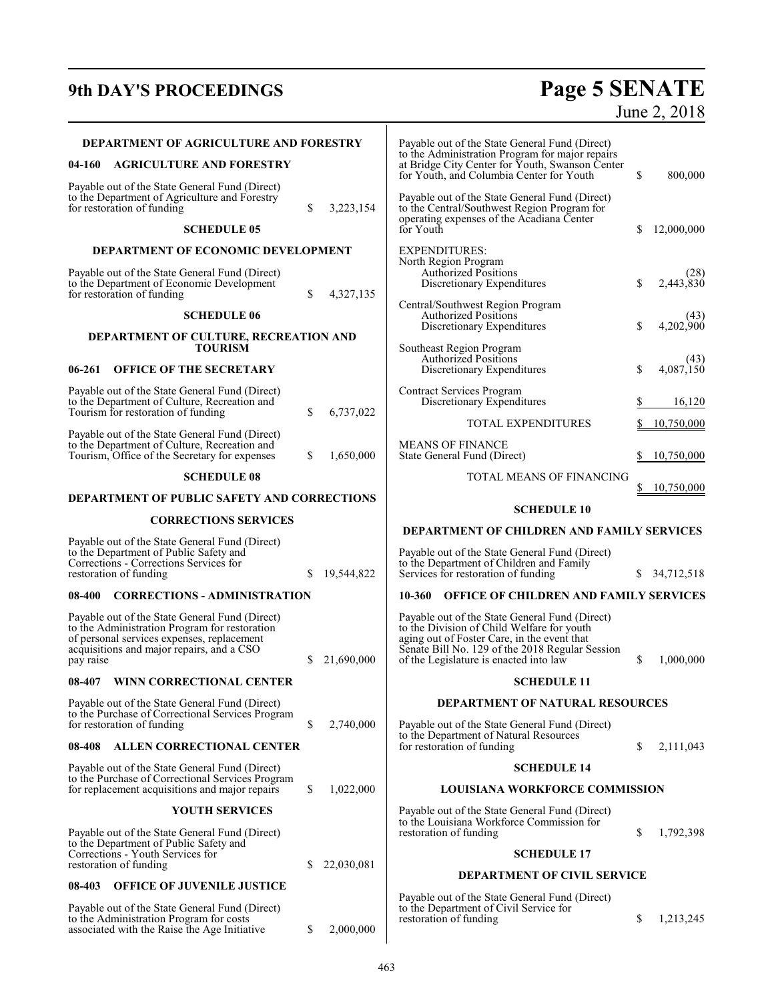# **9th DAY'S PROCEEDINGS Page 5 SENATE**

# June 2, 2018

|           | DEPARTMENT OF AGRICULTURE AND FORESTRY                                                                                                                                                     |    |            | Payable out of the State General Fund (Direct)                                                                                                                                                                                           |    |                   |
|-----------|--------------------------------------------------------------------------------------------------------------------------------------------------------------------------------------------|----|------------|------------------------------------------------------------------------------------------------------------------------------------------------------------------------------------------------------------------------------------------|----|-------------------|
| 04-160    | <b>AGRICULTURE AND FORESTRY</b>                                                                                                                                                            |    |            | to the Administration Program for major repairs<br>at Bridge City Center for Youth, Swanson Center<br>for Youth, and Columbia Center for Youth                                                                                           | \$ | 800,000           |
|           | Payable out of the State General Fund (Direct)<br>to the Department of Agriculture and Forestry<br>for restoration of funding                                                              | \$ | 3,223,154  | Payable out of the State General Fund (Direct)<br>to the Central/Southwest Region Program for<br>operating expenses of the Acadiana Center                                                                                               |    |                   |
|           | <b>SCHEDULE 05</b>                                                                                                                                                                         |    |            | for Youth                                                                                                                                                                                                                                | \$ | 12,000,000        |
|           | DEPARTMENT OF ECONOMIC DEVELOPMENT                                                                                                                                                         |    |            | <b>EXPENDITURES:</b><br>North Region Program                                                                                                                                                                                             |    |                   |
|           | Payable out of the State General Fund (Direct)<br>to the Department of Economic Development<br>for restoration of funding                                                                  | \$ | 4,327,135  | <b>Authorized Positions</b><br>Discretionary Expenditures                                                                                                                                                                                | \$ | (28)<br>2,443,830 |
|           | <b>SCHEDULE 06</b>                                                                                                                                                                         |    |            | Central/Southwest Region Program<br><b>Authorized Positions</b>                                                                                                                                                                          |    | (43)              |
|           | DEPARTMENT OF CULTURE, RECREATION AND                                                                                                                                                      |    |            | Discretionary Expenditures                                                                                                                                                                                                               | \$ | 4,202,900         |
| 06-261    | <b>TOURISM</b><br><b>OFFICE OF THE SECRETARY</b>                                                                                                                                           |    |            | Southeast Region Program<br>Authorized Positions<br>Discretionary Expenditures                                                                                                                                                           | \$ | (43)<br>4,087,150 |
|           | Payable out of the State General Fund (Direct)<br>to the Department of Culture, Recreation and                                                                                             |    |            | <b>Contract Services Program</b><br>Discretionary Expenditures                                                                                                                                                                           |    | 16,120            |
|           | Tourism for restoration of funding                                                                                                                                                         | \$ | 6,737,022  | TOTAL EXPENDITURES                                                                                                                                                                                                                       |    | 10,750,000        |
|           | Payable out of the State General Fund (Direct)<br>to the Department of Culture, Recreation and<br>Tourism, Office of the Secretary for expenses                                            | \$ | 1,650,000  | <b>MEANS OF FINANCE</b><br>State General Fund (Direct)                                                                                                                                                                                   |    | 10,750,000        |
|           | <b>SCHEDULE 08</b>                                                                                                                                                                         |    |            | TOTAL MEANS OF FINANCING                                                                                                                                                                                                                 |    |                   |
|           | DEPARTMENT OF PUBLIC SAFETY AND CORRECTIONS                                                                                                                                                |    |            |                                                                                                                                                                                                                                          |    | 10,750,000        |
|           | <b>CORRECTIONS SERVICES</b>                                                                                                                                                                |    |            | <b>SCHEDULE 10</b>                                                                                                                                                                                                                       |    |                   |
|           |                                                                                                                                                                                            |    |            | DEPARTMENT OF CHILDREN AND FAMILY SERVICES                                                                                                                                                                                               |    |                   |
|           | Payable out of the State General Fund (Direct)<br>to the Department of Public Safety and<br>Corrections - Corrections Services for<br>restoration of funding                               | S  | 19,544,822 | Payable out of the State General Fund (Direct)<br>to the Department of Children and Family<br>Services for restoration of funding                                                                                                        | \$ | 34,712,518        |
| 08-400    | <b>CORRECTIONS - ADMINISTRATION</b>                                                                                                                                                        |    |            | 10-360 OFFICE OF CHILDREN AND FAMILY SERVICES                                                                                                                                                                                            |    |                   |
| pay raise | Payable out of the State General Fund (Direct)<br>to the Administration Program for restoration<br>of personal services expenses, replacement<br>acquisitions and major repairs, and a CSO | \$ | 21,690,000 | Payable out of the State General Fund (Direct)<br>to the Division of Child Welfare for youth<br>aging out of Foster Care, in the event that<br>Senate Bill No. 129 of the 2018 Regular Session<br>of the Legislature is enacted into law | \$ | 1,000,000         |
| 08-407    | WINN CORRECTIONAL CENTER                                                                                                                                                                   |    |            | <b>SCHEDULE 11</b>                                                                                                                                                                                                                       |    |                   |
|           | Payable out of the State General Fund (Direct)<br>to the Purchase of Correctional Services Program                                                                                         |    |            | DEPARTMENT OF NATURAL RESOURCES                                                                                                                                                                                                          |    |                   |
|           | for restoration of funding                                                                                                                                                                 | \$ | 2,740,000  | Payable out of the State General Fund (Direct)<br>to the Department of Natural Resources                                                                                                                                                 |    |                   |
|           | 08-408 ALLEN CORRECTIONAL CENTER                                                                                                                                                           |    |            | for restoration of funding                                                                                                                                                                                                               | \$ | 2,111,043         |
|           | Payable out of the State General Fund (Direct)<br>to the Purchase of Correctional Services Program<br>for replacement acquisitions and major repairs                                       | \$ | 1,022,000  | <b>SCHEDULE 14</b><br><b>LOUISIANA WORKFORCE COMMISSION</b>                                                                                                                                                                              |    |                   |
|           | <b>YOUTH SERVICES</b>                                                                                                                                                                      |    |            | Payable out of the State General Fund (Direct)<br>to the Louisiana Workforce Commission for                                                                                                                                              |    |                   |
|           | Payable out of the State General Fund (Direct)<br>to the Department of Public Safety and<br>Corrections - Youth Services for                                                               |    |            | restoration of funding<br><b>SCHEDULE 17</b>                                                                                                                                                                                             | \$ | 1,792,398         |
|           | restoration of funding                                                                                                                                                                     | S  | 22,030,081 | <b>DEPARTMENT OF CIVIL SERVICE</b>                                                                                                                                                                                                       |    |                   |
| 08-403    | <b>OFFICE OF JUVENILE JUSTICE</b><br>Payable out of the State General Fund (Direct)<br>to the Administration Program for costs                                                             |    |            | Payable out of the State General Fund (Direct)<br>to the Department of Civil Service for<br>restoration of funding                                                                                                                       | S  | 1,213,245         |

 $\mathbf{I}$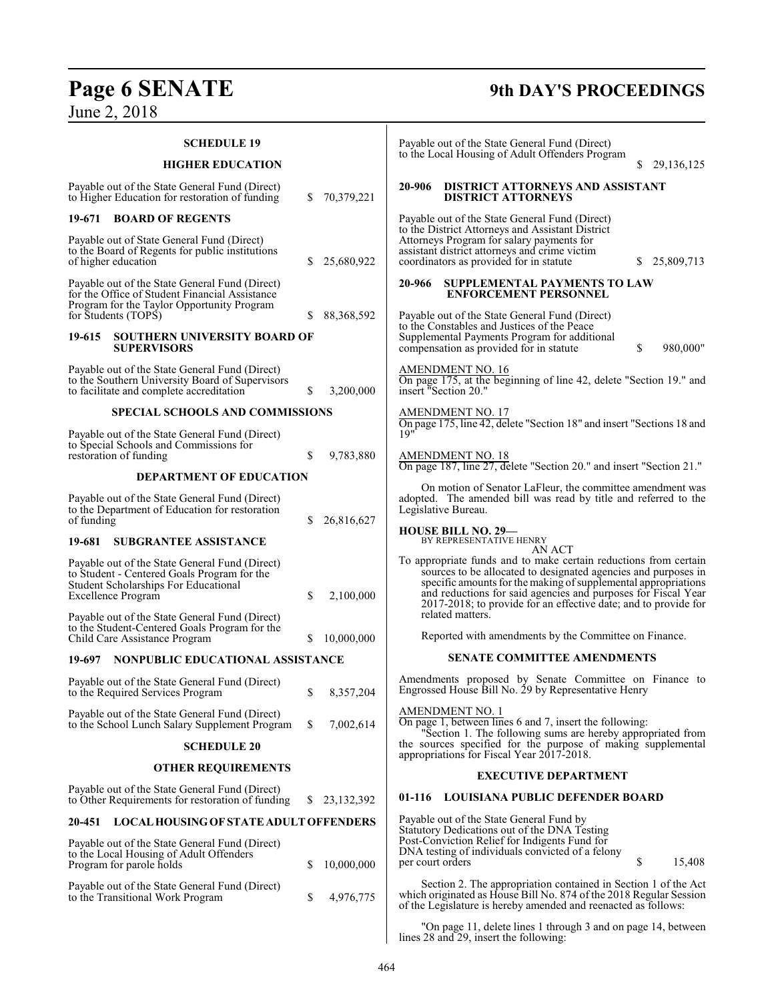# **Page 6 SENATE 9th DAY'S PROCEEDINGS**

June 2, 2018

| <b>SCHEDULE 19</b>                                                                                                                                                                                                          |    |              | Payable out of the State General Fund (Direct)<br>to the Local Housing of Adult Offenders Program                                                                                                                                                                                                                                                            |
|-----------------------------------------------------------------------------------------------------------------------------------------------------------------------------------------------------------------------------|----|--------------|--------------------------------------------------------------------------------------------------------------------------------------------------------------------------------------------------------------------------------------------------------------------------------------------------------------------------------------------------------------|
| <b>HIGHER EDUCATION</b>                                                                                                                                                                                                     |    |              | 29,136,125<br>S.                                                                                                                                                                                                                                                                                                                                             |
| Payable out of the State General Fund (Direct)<br>to Higher Education for restoration of funding                                                                                                                            | S. | 70,379,221   | 20-906<br>DISTRICT ATTORNEYS AND ASSISTANT<br><b>DISTRICT ATTORNEYS</b>                                                                                                                                                                                                                                                                                      |
| <b>BOARD OF REGENTS</b><br>19-671                                                                                                                                                                                           |    |              | Payable out of the State General Fund (Direct)                                                                                                                                                                                                                                                                                                               |
| Payable out of State General Fund (Direct)<br>to the Board of Regents for public institutions<br>of higher education                                                                                                        | S  | 25,680,922   | to the District Attorneys and Assistant District<br>Attorneys Program for salary payments for<br>assistant district attorneys and crime victim<br>coordinators as provided for in statute<br>25,809,713                                                                                                                                                      |
| Payable out of the State General Fund (Direct)<br>for the Office of Student Financial Assistance<br>Program for the Taylor Opportunity Program                                                                              |    |              | SUPPLEMENTAL PAYMENTS TO LAW<br>20-966<br><b>ENFORCEMENT PERSONNEL</b>                                                                                                                                                                                                                                                                                       |
| for Students (TOPS)                                                                                                                                                                                                         | S  | 88, 368, 592 | Payable out of the State General Fund (Direct)<br>to the Constables and Justices of the Peace                                                                                                                                                                                                                                                                |
| <b>SOUTHERN UNIVERSITY BOARD OF</b><br>19-615<br><b>SUPERVISORS</b>                                                                                                                                                         |    |              | Supplemental Payments Program for additional<br>\$<br>980,000"<br>compensation as provided for in statute                                                                                                                                                                                                                                                    |
| Payable out of the State General Fund (Direct)<br>to the Southern University Board of Supervisors<br>to facilitate and complete accreditation                                                                               | \$ | 3,200,000    | <b>AMENDMENT NO. 16</b><br>On page 175, at the beginning of line 42, delete "Section 19." and<br>insert "Section 20."                                                                                                                                                                                                                                        |
| <b>SPECIAL SCHOOLS AND COMMISSIONS</b>                                                                                                                                                                                      |    |              | <b>AMENDMENT NO. 17</b><br>On page 175, line 42, delete "Section 18" and insert "Sections 18 and                                                                                                                                                                                                                                                             |
| Payable out of the State General Fund (Direct)                                                                                                                                                                              |    |              | 19"                                                                                                                                                                                                                                                                                                                                                          |
| to Special Schools and Commissions for<br>restoration of funding<br><b>DEPARTMENT OF EDUCATION</b>                                                                                                                          | \$ | 9,783,880    | <b>AMENDMENT NO. 18</b><br>On page 187, line 27, delete "Section 20." and insert "Section 21."                                                                                                                                                                                                                                                               |
|                                                                                                                                                                                                                             |    |              | On motion of Senator LaFleur, the committee amendment was                                                                                                                                                                                                                                                                                                    |
| Payable out of the State General Fund (Direct)<br>to the Department of Education for restoration<br>of funding                                                                                                              | S  | 26,816,627   | adopted. The amended bill was read by title and referred to the<br>Legislative Bureau.                                                                                                                                                                                                                                                                       |
| <b>SUBGRANTEE ASSISTANCE</b><br>19-681                                                                                                                                                                                      |    |              | <b>HOUSE BILL NO. 29-</b><br>BY REPRESENTATIVE HENRY<br>AN ACT                                                                                                                                                                                                                                                                                               |
| Payable out of the State General Fund (Direct)<br>to Student - Centered Goals Program for the<br><b>Student Scholarships For Educational</b><br><b>Excellence Program</b><br>Payable out of the State General Fund (Direct) | \$ | 2,100,000    | To appropriate funds and to make certain reductions from certain<br>sources to be allocated to designated agencies and purposes in<br>specific amounts for the making of supplemental appropriations<br>and reductions for said agencies and purposes for Fiscal Year<br>2017-2018; to provide for an effective date; and to provide for<br>related matters. |
| to the Student-Centered Goals Program for the<br>Child Care Assistance Program                                                                                                                                              | S  | 10,000,000   | Reported with amendments by the Committee on Finance.                                                                                                                                                                                                                                                                                                        |
| NONPUBLIC EDUCATIONAL ASSISTANCE<br>19-697                                                                                                                                                                                  |    |              | <b>SENATE COMMITTEE AMENDMENTS</b>                                                                                                                                                                                                                                                                                                                           |
| Payable out of the State General Fund (Direct)<br>to the Required Services Program                                                                                                                                          | \$ | 8,357,204    | Amendments proposed by Senate Committee on Finance to<br>Engrossed House Bill No. 29 by Representative Henry                                                                                                                                                                                                                                                 |
| Payable out of the State General Fund (Direct)<br>to the School Lunch Salary Supplement Program                                                                                                                             | \$ | 7,002,614    | AMENDMENT NO. 1<br>On page 1, between lines 6 and 7, insert the following:<br>"Section 1. The following sums are hereby appropriated from                                                                                                                                                                                                                    |
| <b>SCHEDULE 20</b>                                                                                                                                                                                                          |    |              | the sources specified for the purpose of making supplemental<br>appropriations for Fiscal Year 2017-2018.                                                                                                                                                                                                                                                    |
| <b>OTHER REQUIREMENTS</b>                                                                                                                                                                                                   |    |              | <b>EXECUTIVE DEPARTMENT</b>                                                                                                                                                                                                                                                                                                                                  |
| Payable out of the State General Fund (Direct)<br>to Other Requirements for restoration of funding                                                                                                                          | S. | 23, 132, 392 | <b>LOUISIANA PUBLIC DEFENDER BOARD</b><br>01-116                                                                                                                                                                                                                                                                                                             |
| 20-451 LOCAL HOUSING OF STATE ADULT OFFENDERS                                                                                                                                                                               |    |              | Payable out of the State General Fund by                                                                                                                                                                                                                                                                                                                     |
| Payable out of the State General Fund (Direct)<br>to the Local Housing of Adult Offenders<br>Program for parole holds                                                                                                       | S  | 10,000,000   | Statutory Dedications out of the DNA Testing<br>Post-Conviction Relief for Indigents Fund for<br>DNA testing of individuals convicted of a felony<br>\$<br>per court orders<br>15,408                                                                                                                                                                        |
| Payable out of the State General Fund (Direct)<br>to the Transitional Work Program                                                                                                                                          | \$ | 4,976,775    | Section 2. The appropriation contained in Section 1 of the Act<br>which originated as House Bill No. 874 of the 2018 Regular Session<br>of the Legislature is hereby amended and reenacted as follows:                                                                                                                                                       |
|                                                                                                                                                                                                                             |    |              | "On page 11, delete lines 1 through 3 and on page 14, between                                                                                                                                                                                                                                                                                                |

lines 28 and 29, insert the following: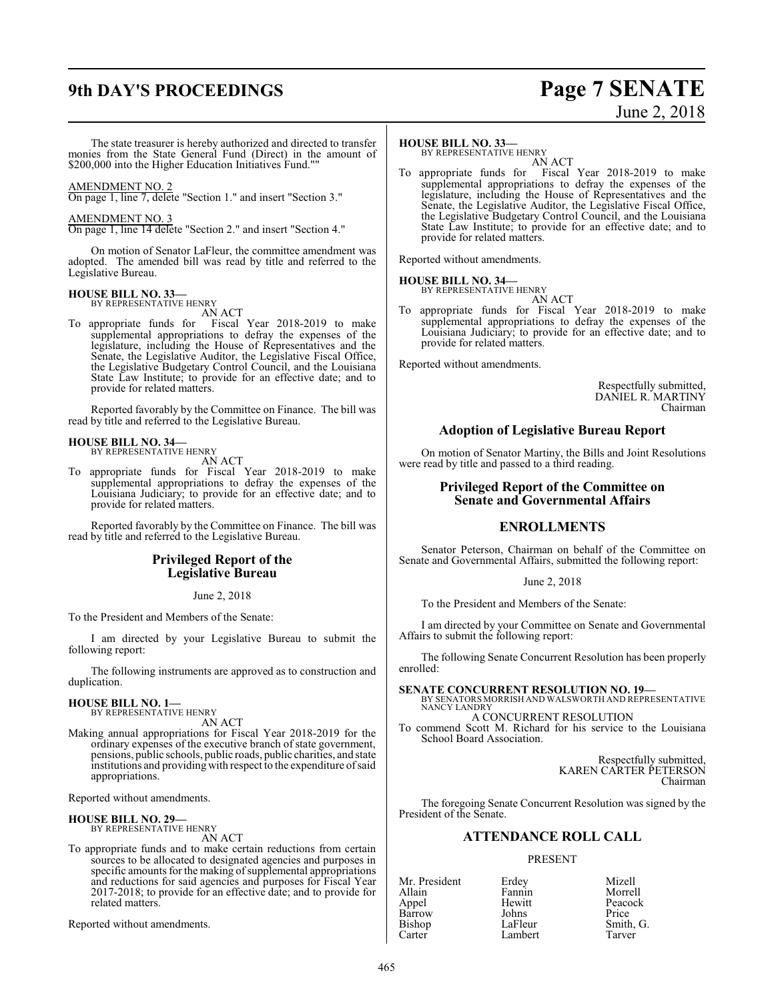# **9th DAY'S PROCEEDINGS Page 7 SENATE**

# June 2, 2018

The state treasurer is hereby authorized and directed to transfer monies from the State General Fund (Direct) in the amount of \$200,000 into the Higher Education Initiatives Fund.""

#### AMENDMENT NO. 2

On page 1, line 7, delete "Section 1." and insert "Section 3."

#### AMENDMENT NO. 3

On page 1, line 14 delete "Section 2." and insert "Section 4."

On motion of Senator LaFleur, the committee amendment was adopted. The amended bill was read by title and referred to the Legislative Bureau.

#### **HOUSE BILL NO. 33—**

BY REPRESENTATIVE HENRY AN ACT

To appropriate funds for Fiscal Year 2018-2019 to make supplemental appropriations to defray the expenses of the legislature, including the House of Representatives and the Senate, the Legislative Auditor, the Legislative Fiscal Office, the Legislative Budgetary Control Council, and the Louisiana State Law Institute; to provide for an effective date; and to provide for related matters.

Reported favorably by the Committee on Finance. The bill was read by title and referred to the Legislative Bureau.

#### **HOUSE BILL NO. 34—** BY REPRESENTATIVE HENRY

AN ACT

To appropriate funds for Fiscal Year 2018-2019 to make supplemental appropriations to defray the expenses of the Louisiana Judiciary; to provide for an effective date; and to provide for related matters.

Reported favorably by the Committee on Finance. The bill was read by title and referred to the Legislative Bureau.

#### **Privileged Report of the Legislative Bureau**

#### June 2, 2018

To the President and Members of the Senate:

I am directed by your Legislative Bureau to submit the following report:

The following instruments are approved as to construction and duplication.

#### **HOUSE BILL NO. 1—** BY REPRESENTATIVE HENRY

AN ACT

Making annual appropriations for Fiscal Year 2018-2019 for the ordinary expenses of the executive branch of state government, pensions, public schools, public roads, public charities, and state institutions and providing with respect to the expenditure ofsaid appropriations.

Reported without amendments.

# **HOUSE BILL NO. 29—** BY REPRESENTATIVE HENRY

AN ACT

To appropriate funds and to make certain reductions from certain sources to be allocated to designated agencies and purposes in specific amounts for the making of supplemental appropriations and reductions for said agencies and purposes for Fiscal Year 2017-2018; to provide for an effective date; and to provide for related matters.

Reported without amendments.

#### **HOUSE BILL NO. 33—**

BY REPRESENTATIVE HENRY AN ACT

To appropriate funds for Fiscal Year 2018-2019 to make supplemental appropriations to defray the expenses of the legislature, including the House of Representatives and the Senate, the Legislative Auditor, the Legislative Fiscal Office, the Legislative Budgetary Control Council, and the Louisiana State Law Institute; to provide for an effective date; and to provide for related matters.

Reported without amendments.

#### **HOUSE BILL NO. 34—** BY REPRESENTATIVE HENRY

AN ACT To appropriate funds for Fiscal Year 2018-2019 to make supplemental appropriations to defray the expenses of the Louisiana Judiciary; to provide for an effective date; and to provide for related matters.

Reported without amendments.

Respectfully submitted, DANIEL R. MARTINY Chairman

#### **Adoption of Legislative Bureau Report**

On motion of Senator Martiny, the Bills and Joint Resolutions were read by title and passed to a third reading.

#### **Privileged Report of the Committee on Senate and Governmental Affairs**

#### **ENROLLMENTS**

Senator Peterson, Chairman on behalf of the Committee on Senate and Governmental Affairs, submitted the following report:

June 2, 2018

To the President and Members of the Senate:

I am directed by your Committee on Senate and Governmental Affairs to submit the following report:

The following Senate Concurrent Resolution has been properly enrolled:

**SENATE CONCURRENT RESOLUTION NO. 19—** BY SENATORS MORRISH AND WALSWORTH AND REPRESENTATIVE NANCY LANDRY

A CONCURRENT RESOLUTION

To commend Scott M. Richard for his service to the Louisiana School Board Association.

> Respectfully submitted, KAREN CARTER PETERSON Chairman

The foregoing Senate Concurrent Resolution was signed by the President of the Senate.

#### **ATTENDANCE ROLL CALL**

#### PRESENT

Allain Fannin Morrell Barrow Johns<br>Bishop LaFleur Bishop LaFleur Smith, G.<br>Carter Lambert Tarver

Mr. President Erdey Mizell Hewitt Peacock<br>Johns Price Lambert